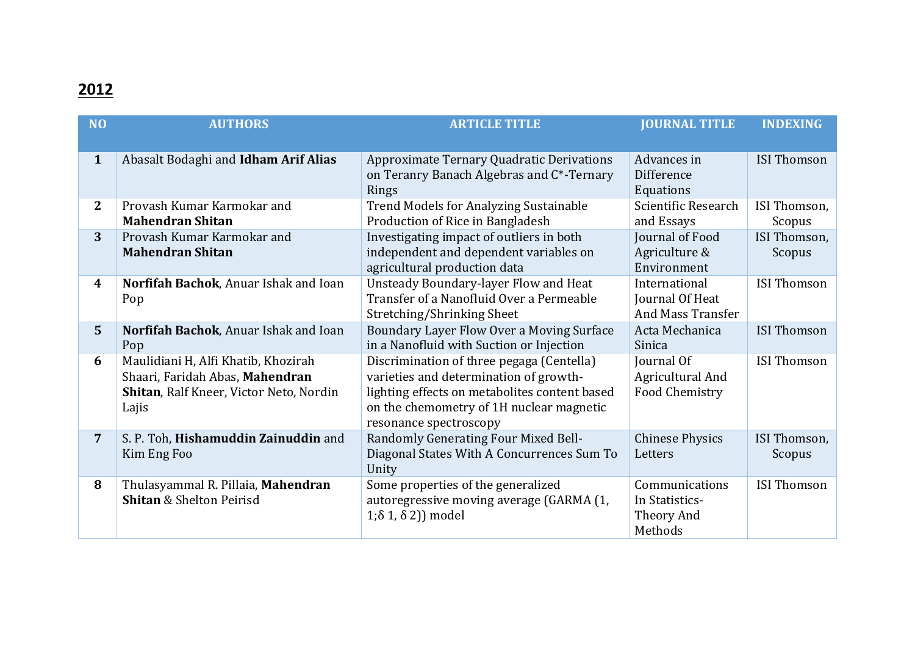## **2012**

| <b>NO</b>        | <b>AUTHORS</b>                              | <b>ARTICLE TITLE</b>                          | <b>JOURNAL TITLE</b>   | <b>INDEXING</b>    |
|------------------|---------------------------------------------|-----------------------------------------------|------------------------|--------------------|
|                  |                                             |                                               |                        |                    |
| $\mathbf{1}$     | Abasalt Bodaghi and <b>Idham Arif Alias</b> | Approximate Ternary Quadratic Derivations     | Advances in            | <b>ISI Thomson</b> |
|                  |                                             | on Teranry Banach Algebras and C*-Ternary     | Difference             |                    |
|                  |                                             | Rings                                         | Equations              |                    |
| $\mathbf{2}$     | Provash Kumar Karmokar and                  | <b>Trend Models for Analyzing Sustainable</b> | Scientific Research    | ISI Thomson,       |
|                  | <b>Mahendran Shitan</b>                     | Production of Rice in Bangladesh              | and Essays             | Scopus             |
| 3                | Provash Kumar Karmokar and                  | Investigating impact of outliers in both      | Journal of Food        | ISI Thomson,       |
|                  | <b>Mahendran Shitan</b>                     | independent and dependent variables on        | Agriculture &          | Scopus             |
|                  |                                             | agricultural production data                  | Environment            |                    |
| $\boldsymbol{4}$ | Norfifah Bachok, Anuar Ishak and Ioan       | Unsteady Boundary-layer Flow and Heat         | International          | <b>ISI Thomson</b> |
|                  | Pop                                         | Transfer of a Nanofluid Over a Permeable      | Journal Of Heat        |                    |
|                  |                                             | Stretching/Shrinking Sheet                    | And Mass Transfer      |                    |
| $5\phantom{1}$   | Norfifah Bachok, Anuar Ishak and Ioan       | Boundary Layer Flow Over a Moving Surface     | Acta Mechanica         | <b>ISI Thomson</b> |
|                  | Pop                                         | in a Nanofluid with Suction or Injection      | Sinica                 |                    |
| 6                | Maulidiani H, Alfi Khatib, Khozirah         | Discrimination of three pegaga (Centella)     | Journal Of             | <b>ISI Thomson</b> |
|                  | Shaari, Faridah Abas, Mahendran             | varieties and determination of growth-        | Agricultural And       |                    |
|                  | Shitan, Ralf Kneer, Victor Neto, Nordin     | lighting effects on metabolites content based | Food Chemistry         |                    |
|                  | Lajis                                       | on the chemometry of 1H nuclear magnetic      |                        |                    |
|                  |                                             | resonance spectroscopy                        |                        |                    |
| $\overline{7}$   | S. P. Toh, Hishamuddin Zainuddin and        | Randomly Generating Four Mixed Bell-          | <b>Chinese Physics</b> | ISI Thomson,       |
|                  | Kim Eng Foo                                 | Diagonal States With A Concurrences Sum To    | Letters                | Scopus             |
|                  |                                             | Unity                                         |                        |                    |
| 8                | Thulasyammal R. Pillaia, Mahendran          | Some properties of the generalized            | Communications         | <b>ISI Thomson</b> |
|                  | <b>Shitan &amp; Shelton Peirisd</b>         | autoregressive moving average (GARMA (1,      | In Statistics-         |                    |
|                  |                                             | $1; \delta 1, \delta 2)$ model                | Theory And             |                    |
|                  |                                             |                                               | Methods                |                    |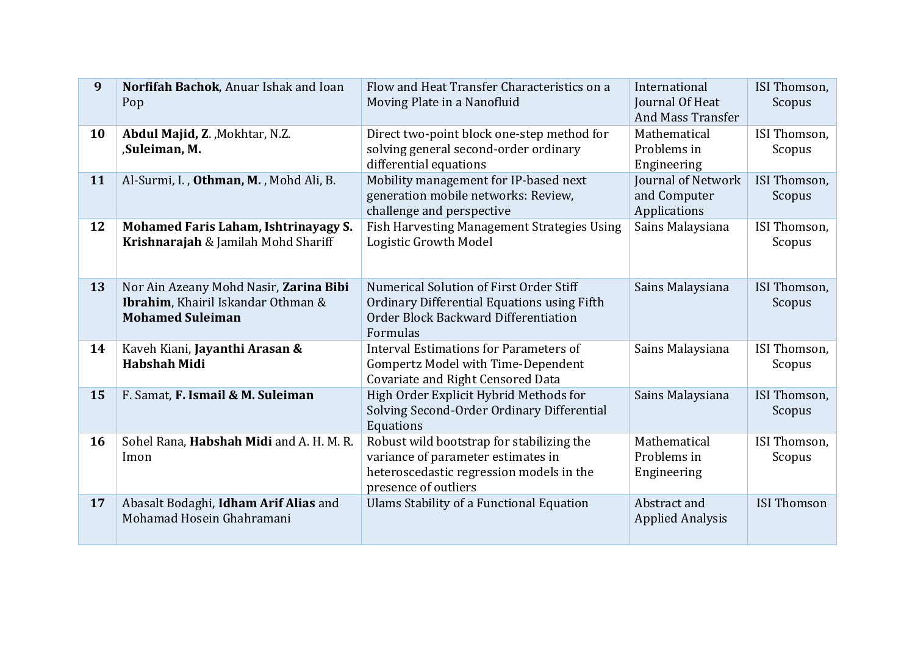| 9  | Norfifah Bachok, Anuar Ishak and Ioan<br>Pop                                                            | Flow and Heat Transfer Characteristics on a<br>Moving Plate in a Nanofluid                                                                          | International<br>Journal Of Heat<br><b>And Mass Transfer</b> | ISI Thomson,<br>Scopus |
|----|---------------------------------------------------------------------------------------------------------|-----------------------------------------------------------------------------------------------------------------------------------------------------|--------------------------------------------------------------|------------------------|
| 10 | Abdul Majid, Z., Mokhtar, N.Z.<br>,Suleiman, M.                                                         | Direct two-point block one-step method for<br>solving general second-order ordinary<br>differential equations                                       | Mathematical<br>Problems in<br>Engineering                   | ISI Thomson,<br>Scopus |
| 11 | Al-Surmi, I., Othman, M., Mohd Ali, B.                                                                  | Mobility management for IP-based next<br>generation mobile networks: Review,<br>challenge and perspective                                           | Journal of Network<br>and Computer<br>Applications           | ISI Thomson,<br>Scopus |
| 12 | Mohamed Faris Laham, Ishtrinayagy S.<br>Krishnarajah & Jamilah Mohd Shariff                             | <b>Fish Harvesting Management Strategies Using</b><br>Logistic Growth Model                                                                         | Sains Malaysiana                                             | ISI Thomson,<br>Scopus |
| 13 | Nor Ain Azeany Mohd Nasir, Zarina Bibi<br>Ibrahim, Khairil Iskandar Othman &<br><b>Mohamed Suleiman</b> | Numerical Solution of First Order Stiff<br>Ordinary Differential Equations using Fifth<br>Order Block Backward Differentiation<br>Formulas          | Sains Malaysiana                                             | ISI Thomson,<br>Scopus |
| 14 | Kaveh Kiani, Jayanthi Arasan &<br><b>Habshah Midi</b>                                                   | Interval Estimations for Parameters of<br>Gompertz Model with Time-Dependent<br><b>Covariate and Right Censored Data</b>                            | Sains Malaysiana                                             | ISI Thomson,<br>Scopus |
| 15 | F. Samat, F. Ismail & M. Suleiman                                                                       | High Order Explicit Hybrid Methods for<br>Solving Second-Order Ordinary Differential<br>Equations                                                   | Sains Malaysiana                                             | ISI Thomson,<br>Scopus |
| 16 | Sohel Rana, Habshah Midi and A. H. M. R.<br>Imon                                                        | Robust wild bootstrap for stabilizing the<br>variance of parameter estimates in<br>heteroscedastic regression models in the<br>presence of outliers | Mathematical<br>Problems in<br>Engineering                   | ISI Thomson,<br>Scopus |
| 17 | Abasalt Bodaghi, Idham Arif Alias and<br>Mohamad Hosein Ghahramani                                      | <b>Ulams Stability of a Functional Equation</b>                                                                                                     | Abstract and<br><b>Applied Analysis</b>                      | <b>ISI Thomson</b>     |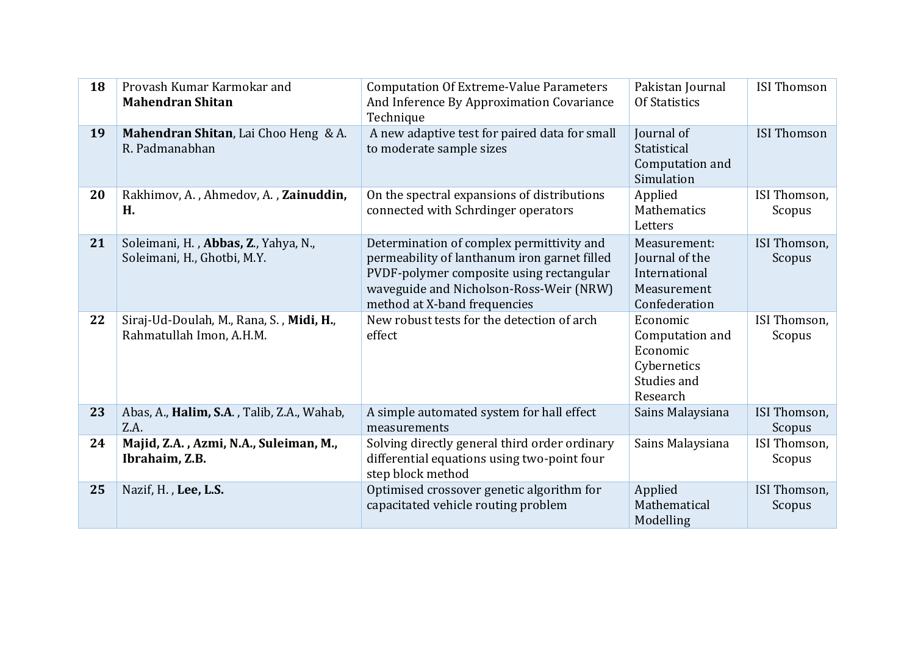| 18 | Provash Kumar Karmokar and<br><b>Mahendran Shitan</b>                | <b>Computation Of Extreme-Value Parameters</b><br>And Inference By Approximation Covariance<br>Technique                                                                                                         | Pakistan Journal<br><b>Of Statistics</b>                                          | <b>ISI Thomson</b>     |
|----|----------------------------------------------------------------------|------------------------------------------------------------------------------------------------------------------------------------------------------------------------------------------------------------------|-----------------------------------------------------------------------------------|------------------------|
| 19 | Mahendran Shitan, Lai Choo Heng & A.<br>R. Padmanabhan               | A new adaptive test for paired data for small<br>to moderate sample sizes                                                                                                                                        | Journal of<br>Statistical<br>Computation and<br>Simulation                        | <b>ISI Thomson</b>     |
| 20 | Rakhimov, A., Ahmedov, A., Zainuddin,<br>Н.                          | On the spectral expansions of distributions<br>connected with Schrdinger operators                                                                                                                               | Applied<br>Mathematics<br>Letters                                                 | ISI Thomson,<br>Scopus |
| 21 | Soleimani, H., Abbas, Z., Yahya, N.,<br>Soleimani, H., Ghotbi, M.Y.  | Determination of complex permittivity and<br>permeability of lanthanum iron garnet filled<br>PVDF-polymer composite using rectangular<br>waveguide and Nicholson-Ross-Weir (NRW)<br>method at X-band frequencies | Measurement:<br>Journal of the<br>International<br>Measurement<br>Confederation   | ISI Thomson,<br>Scopus |
| 22 | Siraj-Ud-Doulah, M., Rana, S., Midi, H.,<br>Rahmatullah Imon, A.H.M. | New robust tests for the detection of arch<br>effect                                                                                                                                                             | Economic<br>Computation and<br>Economic<br>Cybernetics<br>Studies and<br>Research | ISI Thomson,<br>Scopus |
| 23 | Abas, A., Halim, S.A., Talib, Z.A., Wahab,<br>Z.A.                   | A simple automated system for hall effect<br>measurements                                                                                                                                                        | Sains Malaysiana                                                                  | ISI Thomson,<br>Scopus |
| 24 | Majid, Z.A., Azmi, N.A., Suleiman, M.,<br>Ibrahaim, Z.B.             | Solving directly general third order ordinary<br>differential equations using two-point four<br>step block method                                                                                                | Sains Malaysiana                                                                  | ISI Thomson,<br>Scopus |
| 25 | Nazif, H., Lee, L.S.                                                 | Optimised crossover genetic algorithm for<br>capacitated vehicle routing problem                                                                                                                                 | Applied<br>Mathematical<br>Modelling                                              | ISI Thomson,<br>Scopus |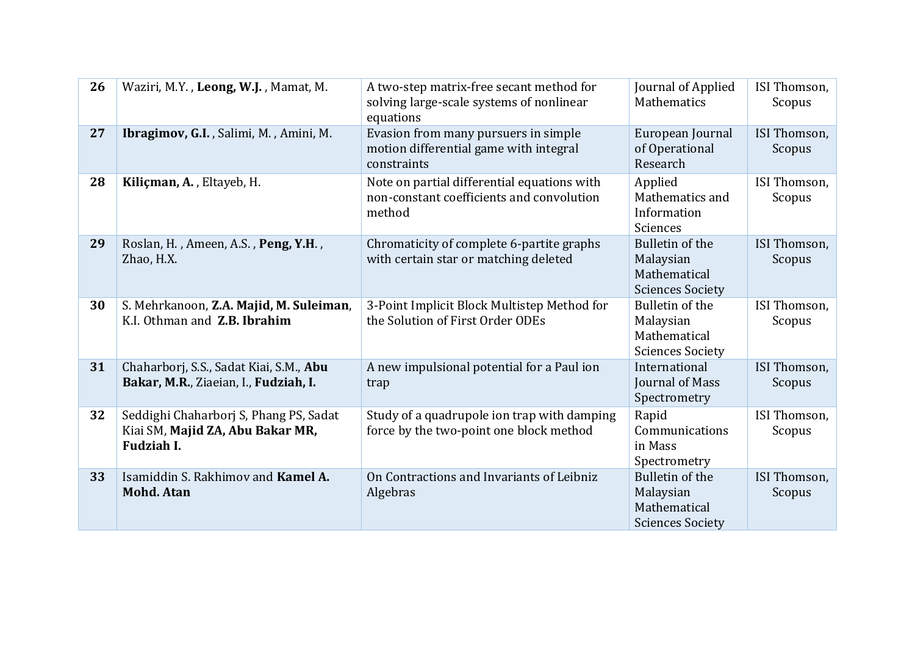| 26 | Waziri, M.Y., Leong, W.J., Mamat, M.                                                            | A two-step matrix-free secant method for<br>solving large-scale systems of nonlinear<br>equations  | Journal of Applied<br>Mathematics                                              | ISI Thomson,<br>Scopus |
|----|-------------------------------------------------------------------------------------------------|----------------------------------------------------------------------------------------------------|--------------------------------------------------------------------------------|------------------------|
| 27 | Ibragimov, G.I., Salimi, M., Amini, M.                                                          | Evasion from many pursuers in simple<br>motion differential game with integral<br>constraints      | European Journal<br>of Operational<br>Research                                 | ISI Thomson,<br>Scopus |
| 28 | Kiliçman, A., Eltayeb, H.                                                                       | Note on partial differential equations with<br>non-constant coefficients and convolution<br>method | Applied<br>Mathematics and<br>Information<br>Sciences                          | ISI Thomson,<br>Scopus |
| 29 | Roslan, H., Ameen, A.S., Peng, Y.H.,<br>Zhao, H.X.                                              | Chromaticity of complete 6-partite graphs<br>with certain star or matching deleted                 | Bulletin of the<br>Malaysian<br>Mathematical<br><b>Sciences Society</b>        | ISI Thomson,<br>Scopus |
| 30 | S. Mehrkanoon, Z.A. Majid, M. Suleiman,<br>K.I. Othman and Z.B. Ibrahim                         | 3-Point Implicit Block Multistep Method for<br>the Solution of First Order ODEs                    | Bulletin of the<br>Malaysian<br>Mathematical<br><b>Sciences Society</b>        | ISI Thomson,<br>Scopus |
| 31 | Chaharborj, S.S., Sadat Kiai, S.M., Abu<br>Bakar, M.R., Ziaeian, I., Fudziah, I.                | A new impulsional potential for a Paul ion<br>trap                                                 | International<br>Journal of Mass<br>Spectrometry                               | ISI Thomson,<br>Scopus |
| 32 | Seddighi Chaharborj S, Phang PS, Sadat<br>Kiai SM, Majid ZA, Abu Bakar MR,<br><b>Fudziah I.</b> | Study of a quadrupole ion trap with damping<br>force by the two-point one block method             | Rapid<br>Communications<br>in Mass<br>Spectrometry                             | ISI Thomson,<br>Scopus |
| 33 | Isamiddin S. Rakhimov and Kamel A.<br><b>Mohd. Atan</b>                                         | On Contractions and Invariants of Leibniz<br>Algebras                                              | <b>Bulletin of the</b><br>Malaysian<br>Mathematical<br><b>Sciences Society</b> | ISI Thomson,<br>Scopus |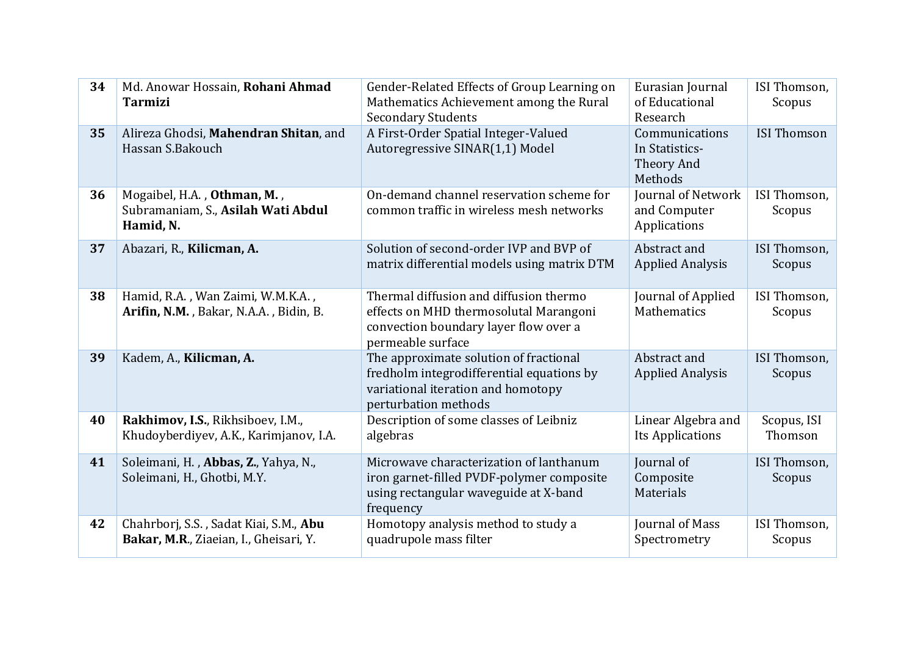| 34 | Md. Anowar Hossain, Rohani Ahmad<br><b>Tarmizi</b>                               | Gender-Related Effects of Group Learning on<br>Mathematics Achievement among the Rural<br><b>Secondary Students</b>                               | Eurasian Journal<br>of Educational<br>Research            | ISI Thomson,<br>Scopus |
|----|----------------------------------------------------------------------------------|---------------------------------------------------------------------------------------------------------------------------------------------------|-----------------------------------------------------------|------------------------|
| 35 | Alireza Ghodsi, Mahendran Shitan, and<br>Hassan S.Bakouch                        | A First-Order Spatial Integer-Valued<br>Autoregressive SINAR(1,1) Model                                                                           | Communications<br>In Statistics-<br>Theory And<br>Methods | <b>ISI Thomson</b>     |
| 36 | Mogaibel, H.A., Othman, M.,<br>Subramaniam, S., Asilah Wati Abdul<br>Hamid, N.   | On-demand channel reservation scheme for<br>common traffic in wireless mesh networks                                                              | Journal of Network<br>and Computer<br>Applications        | ISI Thomson,<br>Scopus |
| 37 | Abazari, R., Kilicman, A.                                                        | Solution of second-order IVP and BVP of<br>matrix differential models using matrix DTM                                                            | Abstract and<br><b>Applied Analysis</b>                   | ISI Thomson,<br>Scopus |
| 38 | Hamid, R.A., Wan Zaimi, W.M.K.A.,<br>Arifin, N.M., Bakar, N.A.A., Bidin, B.      | Thermal diffusion and diffusion thermo<br>effects on MHD thermosolutal Marangoni<br>convection boundary layer flow over a<br>permeable surface    | Journal of Applied<br>Mathematics                         | ISI Thomson,<br>Scopus |
| 39 | Kadem, A., Kilicman, A.                                                          | The approximate solution of fractional<br>fredholm integrodifferential equations by<br>variational iteration and homotopy<br>perturbation methods | Abstract and<br><b>Applied Analysis</b>                   | ISI Thomson,<br>Scopus |
| 40 | Rakhimov, I.S., Rikhsiboev, I.M.,<br>Khudoyberdiyev, A.K., Karimjanov, I.A.      | Description of some classes of Leibniz<br>algebras                                                                                                | Linear Algebra and<br>Its Applications                    | Scopus, ISI<br>Thomson |
| 41 | Soleimani, H., Abbas, Z., Yahya, N.,<br>Soleimani, H., Ghotbi, M.Y.              | Microwave characterization of lanthanum<br>iron garnet-filled PVDF-polymer composite<br>using rectangular waveguide at X-band<br>frequency        | Journal of<br>Composite<br>Materials                      | ISI Thomson,<br>Scopus |
| 42 | Chahrborj, S.S., Sadat Kiai, S.M., Abu<br>Bakar, M.R., Ziaeian, I., Gheisari, Y. | Homotopy analysis method to study a<br>quadrupole mass filter                                                                                     | Journal of Mass<br>Spectrometry                           | ISI Thomson,<br>Scopus |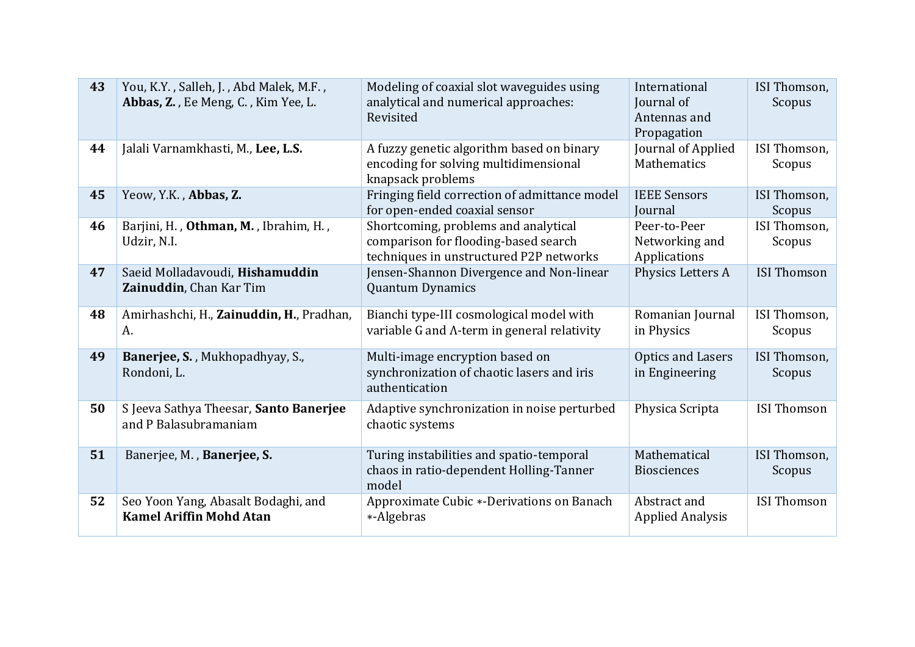| 43 | You, K.Y., Salleh, J., Abd Malek, M.F.,<br>Abbas, Z., Ee Meng, C., Kim Yee, L. | Modeling of coaxial slot waveguides using<br>analytical and numerical approaches:<br>Revisited                          | International<br>Journal of<br>Antennas and<br>Propagation | ISI Thomson,<br>Scopus |
|----|--------------------------------------------------------------------------------|-------------------------------------------------------------------------------------------------------------------------|------------------------------------------------------------|------------------------|
| 44 | Jalali Varnamkhasti, M., Lee, L.S.                                             | A fuzzy genetic algorithm based on binary<br>encoding for solving multidimensional<br>knapsack problems                 | Journal of Applied<br>Mathematics                          | ISI Thomson,<br>Scopus |
| 45 | Yeow, Y.K., Abbas, Z.                                                          | Fringing field correction of admittance model<br>for open-ended coaxial sensor                                          | <b>IEEE Sensors</b><br>Journal                             | ISI Thomson,<br>Scopus |
| 46 | Barjini, H., Othman, M., Ibrahim, H.,<br>Udzir, N.I.                           | Shortcoming, problems and analytical<br>comparison for flooding-based search<br>techniques in unstructured P2P networks | Peer-to-Peer<br>Networking and<br>Applications             | ISI Thomson,<br>Scopus |
| 47 | Saeid Molladavoudi, Hishamuddin<br>Zainuddin, Chan Kar Tim                     | Jensen-Shannon Divergence and Non-linear<br><b>Quantum Dynamics</b>                                                     | Physics Letters A                                          | <b>ISI Thomson</b>     |
| 48 | Amirhashchi, H., Zainuddin, H., Pradhan,<br>A.                                 | Bianchi type-III cosmological model with<br>variable G and Λ-term in general relativity                                 | Romanian Journal<br>in Physics                             | ISI Thomson,<br>Scopus |
| 49 | Banerjee, S., Mukhopadhyay, S.,<br>Rondoni, L.                                 | Multi-image encryption based on<br>synchronization of chaotic lasers and iris<br>authentication                         | <b>Optics and Lasers</b><br>in Engineering                 | ISI Thomson,<br>Scopus |
| 50 | S Jeeva Sathya Theesar, Santo Banerjee<br>and P Balasubramaniam                | Adaptive synchronization in noise perturbed<br>chaotic systems                                                          | Physica Scripta                                            | <b>ISI Thomson</b>     |
| 51 | Banerjee, M., Banerjee, S.                                                     | Turing instabilities and spatio-temporal<br>chaos in ratio-dependent Holling-Tanner<br>model                            | Mathematical<br><b>Biosciences</b>                         | ISI Thomson,<br>Scopus |
| 52 | Seo Yoon Yang, Abasalt Bodaghi, and<br><b>Kamel Ariffin Mohd Atan</b>          | Approximate Cubic *-Derivations on Banach<br>*-Algebras                                                                 | Abstract and<br><b>Applied Analysis</b>                    | <b>ISI Thomson</b>     |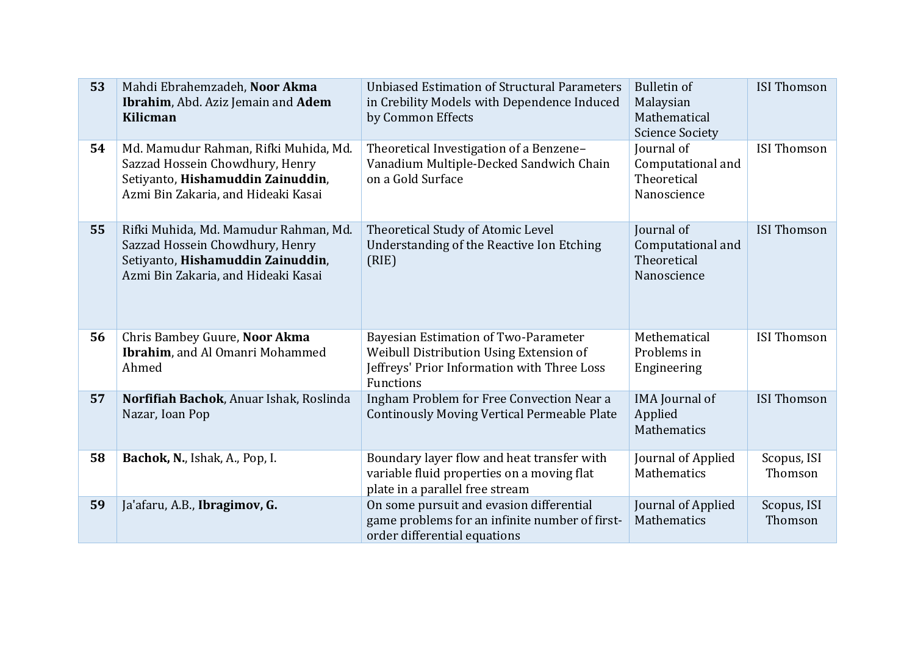| 53 | Mahdi Ebrahemzadeh, Noor Akma<br>Ibrahim, Abd. Aziz Jemain and Adem<br>Kilicman                                                                      | <b>Unbiased Estimation of Structural Parameters</b><br>in Crebility Models with Dependence Induced<br>by Common Effects                            | <b>Bulletin of</b><br>Malaysian<br>Mathematical<br><b>Science Society</b> | <b>ISI</b> Thomson     |
|----|------------------------------------------------------------------------------------------------------------------------------------------------------|----------------------------------------------------------------------------------------------------------------------------------------------------|---------------------------------------------------------------------------|------------------------|
| 54 | Md. Mamudur Rahman, Rifki Muhida, Md.<br>Sazzad Hossein Chowdhury, Henry<br>Setiyanto, Hishamuddin Zainuddin,<br>Azmi Bin Zakaria, and Hideaki Kasai | Theoretical Investigation of a Benzene-<br>Vanadium Multiple-Decked Sandwich Chain<br>on a Gold Surface                                            | Journal of<br>Computational and<br>Theoretical<br>Nanoscience             | <b>ISI Thomson</b>     |
| 55 | Rifki Muhida, Md. Mamudur Rahman, Md.<br>Sazzad Hossein Chowdhury, Henry<br>Setiyanto, Hishamuddin Zainuddin,<br>Azmi Bin Zakaria, and Hideaki Kasai | Theoretical Study of Atomic Level<br>Understanding of the Reactive Ion Etching<br>(RIE)                                                            | Journal of<br>Computational and<br>Theoretical<br>Nanoscience             | <b>ISI Thomson</b>     |
| 56 | Chris Bambey Guure, Noor Akma<br>Ibrahim, and Al Omanri Mohammed<br>Ahmed                                                                            | <b>Bayesian Estimation of Two-Parameter</b><br>Weibull Distribution Using Extension of<br>Jeffreys' Prior Information with Three Loss<br>Functions | Methematical<br>Problems in<br>Engineering                                | <b>ISI Thomson</b>     |
| 57 | Norfifiah Bachok, Anuar Ishak, Roslinda<br>Nazar, Ioan Pop                                                                                           | Ingham Problem for Free Convection Near a<br><b>Continously Moving Vertical Permeable Plate</b>                                                    | <b>IMA</b> Journal of<br>Applied<br>Mathematics                           | <b>ISI Thomson</b>     |
| 58 | Bachok, N., Ishak, A., Pop, I.                                                                                                                       | Boundary layer flow and heat transfer with<br>variable fluid properties on a moving flat<br>plate in a parallel free stream                        | Journal of Applied<br>Mathematics                                         | Scopus, ISI<br>Thomson |
| 59 | Ja'afaru, A.B., Ibragimov, G.                                                                                                                        | On some pursuit and evasion differential<br>game problems for an infinite number of first-<br>order differential equations                         | Journal of Applied<br>Mathematics                                         | Scopus, ISI<br>Thomson |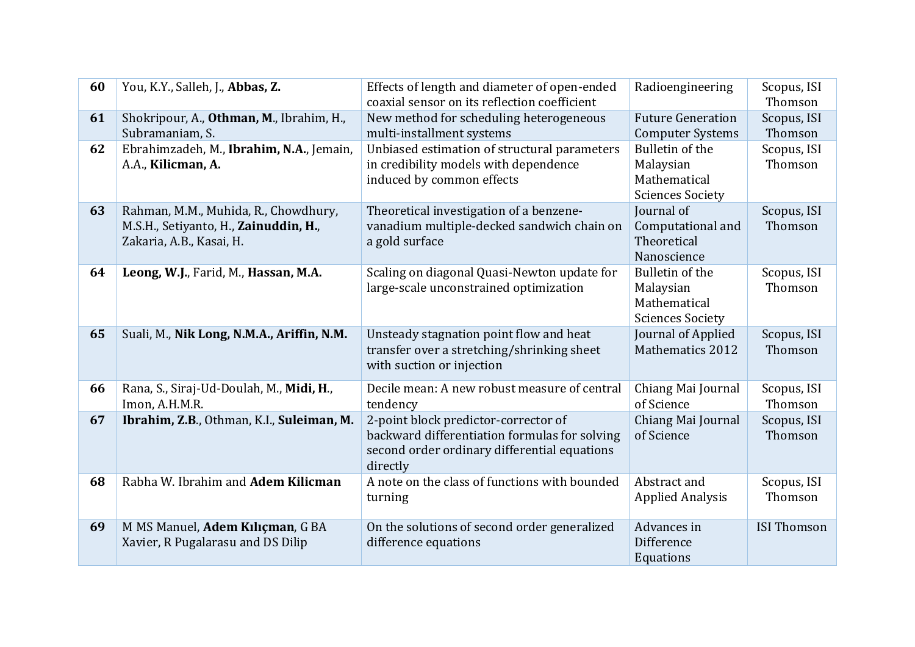| 60 | You, K.Y., Salleh, J., Abbas, Z.                                                                          | Effects of length and diameter of open-ended                                                                                                      | Radioengineering                                                        | Scopus, ISI            |
|----|-----------------------------------------------------------------------------------------------------------|---------------------------------------------------------------------------------------------------------------------------------------------------|-------------------------------------------------------------------------|------------------------|
|    |                                                                                                           | coaxial sensor on its reflection coefficient                                                                                                      |                                                                         | Thomson                |
| 61 | Shokripour, A., Othman, M., Ibrahim, H.,<br>Subramaniam, S.                                               | New method for scheduling heterogeneous<br>multi-installment systems                                                                              | <b>Future Generation</b><br><b>Computer Systems</b>                     | Scopus, ISI<br>Thomson |
| 62 | Ebrahimzadeh, M., Ibrahim, N.A., Jemain,<br>A.A., Kilicman, A.                                            | Unbiased estimation of structural parameters<br>in credibility models with dependence<br>induced by common effects                                | Bulletin of the<br>Malaysian<br>Mathematical<br><b>Sciences Society</b> | Scopus, ISI<br>Thomson |
| 63 | Rahman, M.M., Muhida, R., Chowdhury,<br>M.S.H., Setiyanto, H., Zainuddin, H.,<br>Zakaria, A.B., Kasai, H. | Theoretical investigation of a benzene-<br>vanadium multiple-decked sandwich chain on<br>a gold surface                                           | Journal of<br>Computational and<br>Theoretical<br>Nanoscience           | Scopus, ISI<br>Thomson |
| 64 | Leong, W.J., Farid, M., Hassan, M.A.                                                                      | Scaling on diagonal Quasi-Newton update for<br>large-scale unconstrained optimization                                                             | Bulletin of the<br>Malaysian<br>Mathematical<br><b>Sciences Society</b> | Scopus, ISI<br>Thomson |
| 65 | Suali, M., Nik Long, N.M.A., Ariffin, N.M.                                                                | Unsteady stagnation point flow and heat<br>transfer over a stretching/shrinking sheet<br>with suction or injection                                | Journal of Applied<br><b>Mathematics 2012</b>                           | Scopus, ISI<br>Thomson |
| 66 | Rana, S., Siraj-Ud-Doulah, M., Midi, H.,<br>Imon, A.H.M.R.                                                | Decile mean: A new robust measure of central<br>tendency                                                                                          | Chiang Mai Journal<br>of Science                                        | Scopus, ISI<br>Thomson |
| 67 | Ibrahim, Z.B., Othman, K.I., Suleiman, M.                                                                 | 2-point block predictor-corrector of<br>backward differentiation formulas for solving<br>second order ordinary differential equations<br>directly | Chiang Mai Journal<br>of Science                                        | Scopus, ISI<br>Thomson |
| 68 | Rabha W. Ibrahim and Adem Kilicman                                                                        | A note on the class of functions with bounded<br>turning                                                                                          | Abstract and<br><b>Applied Analysis</b>                                 | Scopus, ISI<br>Thomson |
| 69 | M MS Manuel, Adem Kılıçman, G BA<br>Xavier, R Pugalarasu and DS Dilip                                     | On the solutions of second order generalized<br>difference equations                                                                              | Advances in<br>Difference<br>Equations                                  | <b>ISI Thomson</b>     |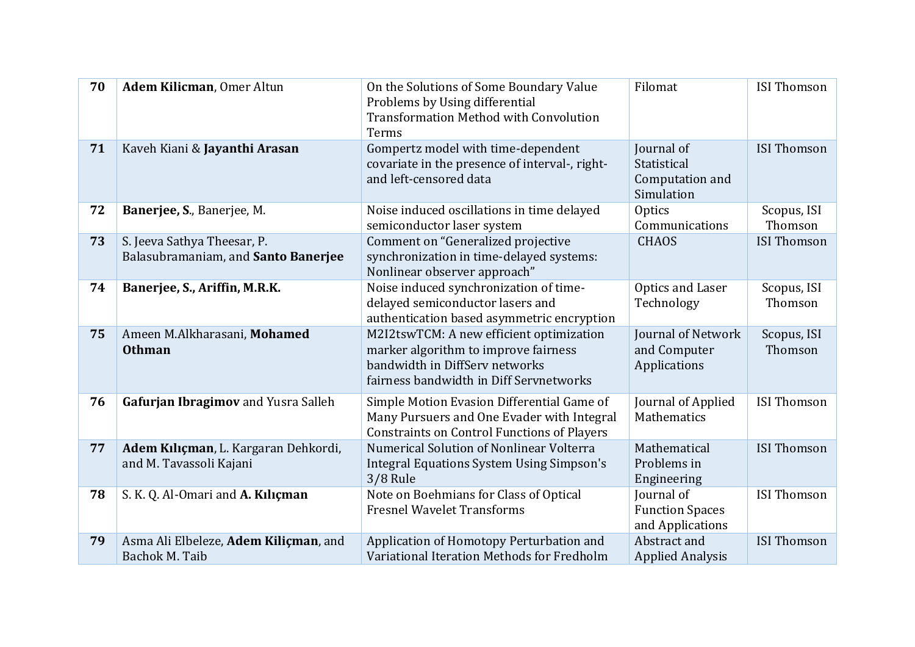| 70 | Adem Kilicman, Omer Altun                                          | On the Solutions of Some Boundary Value<br>Problems by Using differential<br><b>Transformation Method with Convolution</b><br>Terms                           | Filomat                                                    | <b>ISI Thomson</b>     |
|----|--------------------------------------------------------------------|---------------------------------------------------------------------------------------------------------------------------------------------------------------|------------------------------------------------------------|------------------------|
| 71 | Kaveh Kiani & Jayanthi Arasan                                      | Gompertz model with time-dependent<br>covariate in the presence of interval-, right-<br>and left-censored data                                                | Journal of<br>Statistical<br>Computation and<br>Simulation | <b>ISI Thomson</b>     |
| 72 | Banerjee, S., Banerjee, M.                                         | Noise induced oscillations in time delayed<br>semiconductor laser system                                                                                      | Optics<br>Communications                                   | Scopus, ISI<br>Thomson |
| 73 | S. Jeeva Sathya Theesar, P.<br>Balasubramaniam, and Santo Banerjee | Comment on "Generalized projective<br>synchronization in time-delayed systems:<br>Nonlinear observer approach"                                                | <b>CHAOS</b>                                               | <b>ISI Thomson</b>     |
| 74 | Banerjee, S., Ariffin, M.R.K.                                      | Noise induced synchronization of time-<br>delayed semiconductor lasers and<br>authentication based asymmetric encryption                                      | Optics and Laser<br>Technology                             | Scopus, ISI<br>Thomson |
| 75 | Ameen M.Alkharasani, Mohamed<br><b>Othman</b>                      | M2I2tswTCM: A new efficient optimization<br>marker algorithm to improve fairness<br>bandwidth in DiffServ networks<br>fairness bandwidth in Diff Servnetworks | Journal of Network<br>and Computer<br>Applications         | Scopus, ISI<br>Thomson |
| 76 | Gafurjan Ibragimov and Yusra Salleh                                | Simple Motion Evasion Differential Game of<br>Many Pursuers and One Evader with Integral<br><b>Constraints on Control Functions of Players</b>                | Journal of Applied<br>Mathematics                          | <b>ISI Thomson</b>     |
| 77 | Adem Kılıçman, L. Kargaran Dehkordi,<br>and M. Tavassoli Kajani    | Numerical Solution of Nonlinear Volterra<br><b>Integral Equations System Using Simpson's</b><br>$3/8$ Rule                                                    | Mathematical<br>Problems in<br>Engineering                 | <b>ISI Thomson</b>     |
| 78 | S. K. Q. Al-Omari and A. Kiliçman                                  | Note on Boehmians for Class of Optical<br><b>Fresnel Wavelet Transforms</b>                                                                                   | Journal of<br><b>Function Spaces</b><br>and Applications   | <b>ISI Thomson</b>     |
| 79 | Asma Ali Elbeleze, Adem Kiliçman, and<br>Bachok M. Taib            | Application of Homotopy Perturbation and<br>Variational Iteration Methods for Fredholm                                                                        | Abstract and<br><b>Applied Analysis</b>                    | <b>ISI Thomson</b>     |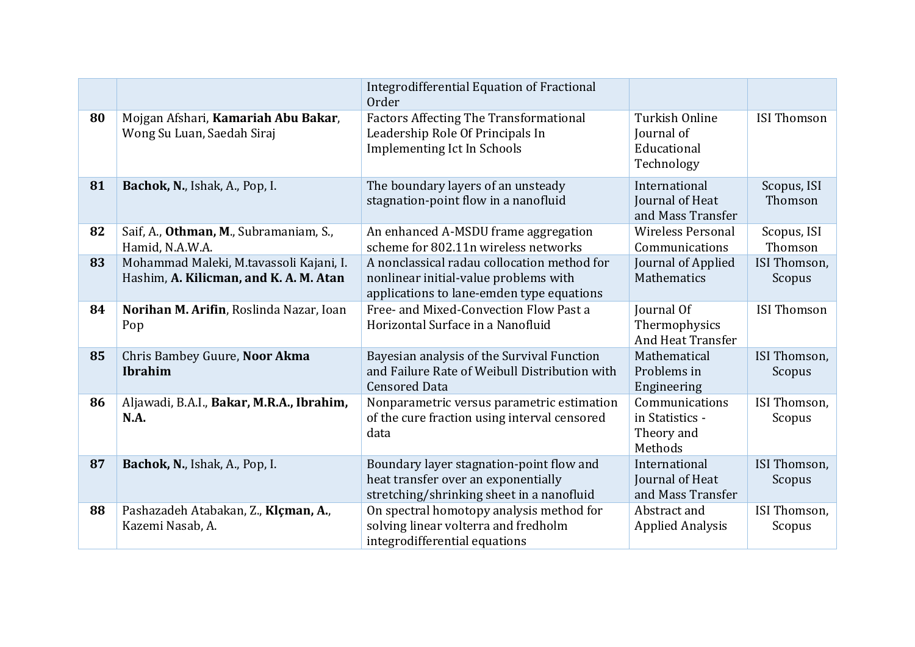|    |                                                                                   | <b>Integrodifferential Equation of Fractional</b><br>Order                                                                        |                                                            |                        |
|----|-----------------------------------------------------------------------------------|-----------------------------------------------------------------------------------------------------------------------------------|------------------------------------------------------------|------------------------|
| 80 | Mojgan Afshari, Kamariah Abu Bakar,<br>Wong Su Luan, Saedah Siraj                 | <b>Factors Affecting The Transformational</b><br>Leadership Role Of Principals In<br><b>Implementing Ict In Schools</b>           | Turkish Online<br>Journal of<br>Educational<br>Technology  | <b>ISI Thomson</b>     |
| 81 | Bachok, N., Ishak, A., Pop, I.                                                    | The boundary layers of an unsteady<br>stagnation-point flow in a nanofluid                                                        | International<br>Journal of Heat<br>and Mass Transfer      | Scopus, ISI<br>Thomson |
| 82 | Saif, A., Othman, M., Subramaniam, S.,<br>Hamid, N.A.W.A.                         | An enhanced A-MSDU frame aggregation<br>scheme for 802.11n wireless networks                                                      | <b>Wireless Personal</b><br>Communications                 | Scopus, ISI<br>Thomson |
| 83 | Mohammad Maleki, M.tavassoli Kajani, I.<br>Hashim, A. Kilicman, and K. A. M. Atan | A nonclassical radau collocation method for<br>nonlinear initial-value problems with<br>applications to lane-emden type equations | Journal of Applied<br>Mathematics                          | ISI Thomson,<br>Scopus |
| 84 | Norihan M. Arifin, Roslinda Nazar, Ioan<br>Pop                                    | Free- and Mixed-Convection Flow Past a<br>Horizontal Surface in a Nanofluid                                                       | Journal Of<br>Thermophysics<br><b>And Heat Transfer</b>    | <b>ISI Thomson</b>     |
| 85 | Chris Bambey Guure, Noor Akma<br><b>Ibrahim</b>                                   | Bayesian analysis of the Survival Function<br>and Failure Rate of Weibull Distribution with<br><b>Censored Data</b>               | Mathematical<br>Problems in<br>Engineering                 | ISI Thomson,<br>Scopus |
| 86 | Aljawadi, B.A.I., Bakar, M.R.A., Ibrahim,<br><b>N.A.</b>                          | Nonparametric versus parametric estimation<br>of the cure fraction using interval censored<br>data                                | Communications<br>in Statistics -<br>Theory and<br>Methods | ISI Thomson,<br>Scopus |
| 87 | Bachok, N., Ishak, A., Pop, I.                                                    | Boundary layer stagnation-point flow and<br>heat transfer over an exponentially<br>stretching/shrinking sheet in a nanofluid      | International<br>Journal of Heat<br>and Mass Transfer      | ISI Thomson,<br>Scopus |
| 88 | Pashazadeh Atabakan, Z., Klçman, A.,<br>Kazemi Nasab, A.                          | On spectral homotopy analysis method for<br>solving linear volterra and fredholm<br>integrodifferential equations                 | Abstract and<br><b>Applied Analysis</b>                    | ISI Thomson,<br>Scopus |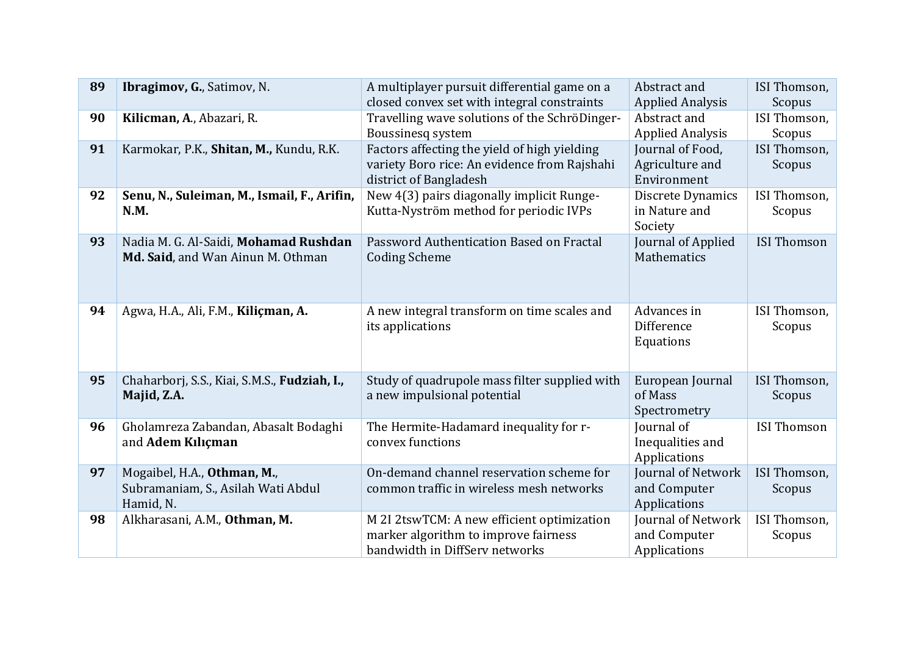| 89 | Ibragimov, G., Satimov, N.                   | A multiplayer pursuit differential game on a                           | Abstract and                 | ISI Thomson,       |
|----|----------------------------------------------|------------------------------------------------------------------------|------------------------------|--------------------|
|    |                                              | closed convex set with integral constraints                            | <b>Applied Analysis</b>      | Scopus             |
| 90 | Kilicman, A., Abazari, R.                    | Travelling wave solutions of the SchröDinger-                          | Abstract and                 | ISI Thomson,       |
|    |                                              | Boussinesq system                                                      | <b>Applied Analysis</b>      | Scopus             |
| 91 | Karmokar, P.K., Shitan, M., Kundu, R.K.      | Factors affecting the yield of high yielding                           | Journal of Food,             | ISI Thomson,       |
|    |                                              | variety Boro rice: An evidence from Rajshahi                           | Agriculture and              | Scopus             |
|    |                                              | district of Bangladesh                                                 | Environment                  |                    |
| 92 | Senu, N., Suleiman, M., Ismail, F., Arifin,  | New 4(3) pairs diagonally implicit Runge-                              | Discrete Dynamics            | ISI Thomson,       |
|    | N.M.                                         | Kutta-Nyström method for periodic IVPs                                 | in Nature and                | Scopus             |
|    |                                              |                                                                        | Society                      |                    |
| 93 | Nadia M. G. Al-Saidi, Mohamad Rushdan        | Password Authentication Based on Fractal                               | Journal of Applied           | <b>ISI Thomson</b> |
|    | Md. Said, and Wan Ainun M. Othman            | <b>Coding Scheme</b>                                                   | Mathematics                  |                    |
|    |                                              |                                                                        |                              |                    |
|    |                                              |                                                                        |                              |                    |
| 94 | Agwa, H.A., Ali, F.M., Kiliçman, A.          | A new integral transform on time scales and                            | Advances in                  | ISI Thomson,       |
|    |                                              | its applications                                                       | Difference                   | Scopus             |
|    |                                              |                                                                        | Equations                    |                    |
|    |                                              |                                                                        |                              |                    |
| 95 | Chaharborj, S.S., Kiai, S.M.S., Fudziah, I., | Study of quadrupole mass filter supplied with                          | European Journal             | ISI Thomson,       |
|    | Majid, Z.A.                                  | a new impulsional potential                                            | of Mass                      | Scopus             |
|    |                                              |                                                                        | Spectrometry                 |                    |
| 96 | Gholamreza Zabandan, Abasalt Bodaghi         | The Hermite-Hadamard inequality for r-                                 | Journal of                   | <b>ISI Thomson</b> |
|    | and Adem Kılıçman                            | convex functions                                                       | Inequalities and             |                    |
|    |                                              |                                                                        | Applications                 |                    |
| 97 | Mogaibel, H.A., Othman, M.,                  | On-demand channel reservation scheme for                               | Journal of Network           | ISI Thomson,       |
|    | Subramaniam, S., Asilah Wati Abdul           | common traffic in wireless mesh networks                               | and Computer                 | Scopus             |
|    | Hamid, N.                                    |                                                                        | Applications                 |                    |
| 98 | Alkharasani, A.M., Othman, M.                | M 2I 2tswTCM: A new efficient optimization                             | Journal of Network           | ISI Thomson,       |
|    |                                              |                                                                        |                              |                    |
|    |                                              |                                                                        |                              |                    |
|    |                                              | marker algorithm to improve fairness<br>bandwidth in DiffServ networks | and Computer<br>Applications | Scopus             |